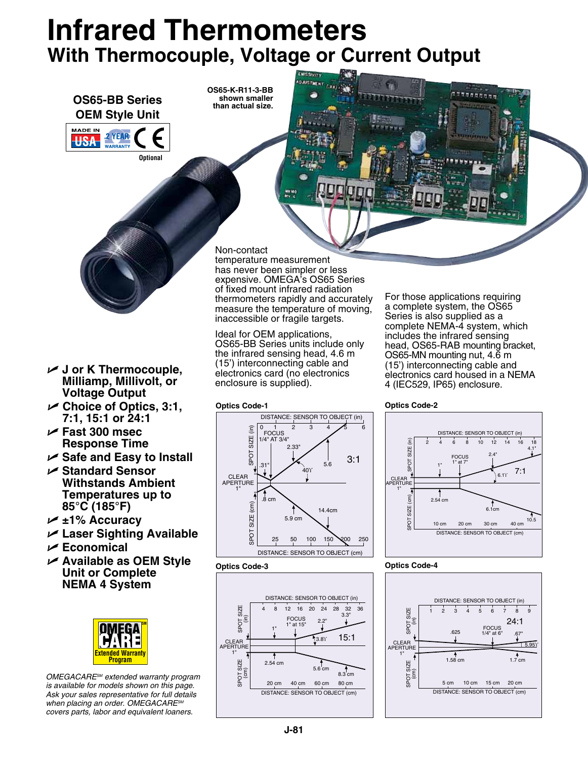# **Infrared Thermometers With Thermocouple, Voltage or Current Output**



*when placing an order. OMEGACARESM covers parts, labor and equivalent loaners.*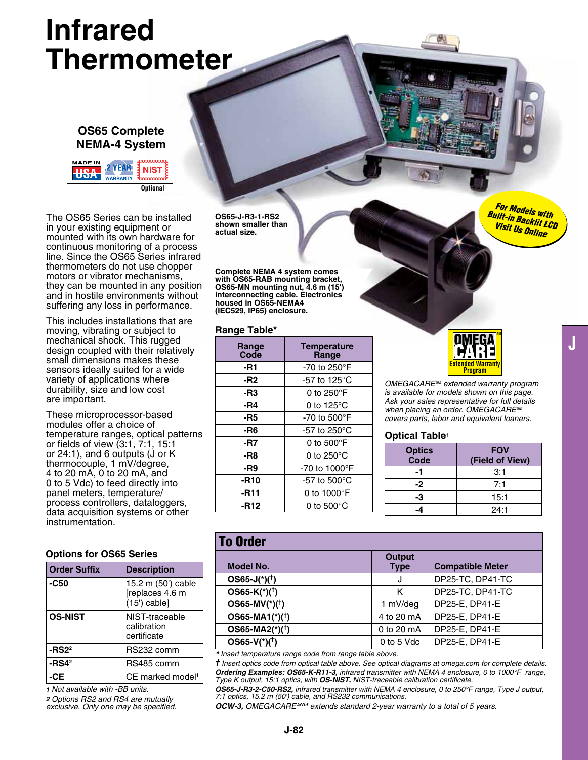# **Infrared Thermometer**

## **OS65 Complete NEMA-4 System**



The OS65 Series can be installed in your existing equipment or mounted with its own hardware for continuous monitoring of a process line. Since the OS65 Series infrared thermometers do not use chopper motors or vibrator mechanisms, they can be mounted in any position and in hostile environments without suffering any loss in performance.

This includes installations that are moving, vibrating or subject to mechanical shock. This rugged design coupled with their relatively small dimensions makes these sensors ideally suited for a wide variety of applications where durability, size and low cost are important.

These microprocessor-based modules offer a choice of temperature ranges, optical patterns or fields of view (3:1, 7:1, 15:1 or 24:1), and 6 outputs (J or K thermocouple, 1 mV/degree, 4 to 20 mA, 0 to 20 mA, and 0 to 5 Vdc) to feed directly into panel meters, temperature/ process controllers, dataloggers, data acquisition systems or other instrumentation.

### **Options for OS65 Series**

| <b>Order Suffix</b> | <b>Description</b>                                      |
|---------------------|---------------------------------------------------------|
| -C50                | 15.2 m (50') cable<br>[replaces 4.6 m<br>$(15')$ cable] |
| <b>OS-NIST</b>      | NIST-traceable<br>calibration<br>certificate            |
| -RS2 <sup>2</sup>   | RS232 comm                                              |
| $-RSA2$             | RS485 comm                                              |
|                     | CE marked model <sup>1</sup>                            |

*1 Not available with -BB units. 2 Options RS2 and RS4 are mutually exclusive. Only one may be specified.*

**OS65-J-R3-1-RS2 shown smaller than actual size.**

**Complete NEMA 4 system comes with OS65-RAB mounting bracket, OS65-MN mounting nut, 4.6 m (15') interconnecting cable. Electronics housed in OS65-NEMA4 (IEC529, IP65) enclosure.**

#### **Range Table\***

| Range<br>Code | <b>Temperature</b><br>Range     |
|---------------|---------------------------------|
| -R1           | -70 to 250 $\mathrm{^{\circ}F}$ |
| -R2           | -57 to 125°C                    |
| -R3           | 0 to 250 $\mathrm{^{\circ}F}$   |
| -R4           | 0 to $125^{\circ}$ C            |
| -R5           | -70 to 500 $\mathrm{^{\circ}F}$ |
| -R6           | -57 to 250 $^{\circ}$ C         |
| -R7           | 0 to 500°F                      |
| -R8           | 0 to 250 $^{\circ}$ C           |
| -R9           | -70 to 1000°F                   |
| $-R10$        | -57 to $500^{\circ}$ C          |
| -R11          | 0 to $1000^\circ F$             |
| -R12          | 0 to 500°C                      |



*OMEGACARESM extended warranty program is available for models shown on this page. Ask your sales representative for full details when placing an order. OMEGACARESM covers parts, labor and equivalent loaners.*

#### **Optical Table†**

| <b>Optics</b><br>Code | <b>FOV</b><br>(Field of View) |
|-----------------------|-------------------------------|
| -1                    | 3:1                           |
| -2                    | 7:1                           |
| -3                    | 15:1                          |
|                       | 24:1                          |

## To Order

| .                             |                              |                         |
|-------------------------------|------------------------------|-------------------------|
| <b>Model No.</b>              | <b>Output</b><br><b>Type</b> | <b>Compatible Meter</b> |
| $OS65-J(*)$ <sup>(†</sup> )   | J                            | DP25-TC, DP41-TC        |
| $OS65-K(*)$ <sup>(†</sup> )   | κ                            | DP25-TC, DP41-TC        |
| $OS65-MV(^{*})({}^{\dagger})$ | 1 mV/deg                     | DP25-E, DP41-E          |
| $OS65-MA1(*)$ <sup>(†</sup> ) | 4 to 20 mA                   | DP25-E, DP41-E          |
| $OS65-MA2(*)$ <sup>(†</sup> ) | 0 to 20 mA                   | DP25-E. DP41-E          |
| $OS65-V(*)$ <sup>(†</sup> )   | 0 to 5 Vdc                   | DP25-E. DP41-E          |

*\* Insert temperature range code from range table above.* 

*† Insert optics code from optical table above. See optical diagrams at omega.com for complete details. Ordering Examples: OS65-K-R11-3, infrared transmitter with NEMA 4 enclosure, 0 to 1000°F range, Type K output, 15:1 optics, with OS-NIST, NIST-traceable calibration certificate.*

*OS65-J-R3-2-C50-RS2, infrared transmitter with NEMA 4 enclosure, 0 to 250°F range, Type J output, 7:1 optics, 15.2 m (50') cable, and RS232 communications.*

*OCW-3, OMEGACARESM extends standard 2-year warranty to a total of 5 years.*

*For Models with Built-in Backlit LCD Visit Us Online*